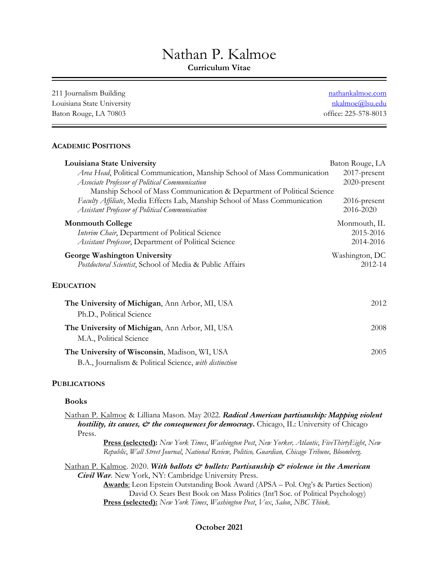# Nathan P. Kalmoe

**Curriculum Vitae** 

| nathankalmoe.com       |
|------------------------|
| <u>nkalmoe@lsu.edu</u> |
| office: 225-578-8013   |
|                        |

## **ACADEMIC POSITIONS**

| Louisiana State University                                                 | Baton Rouge, LA |
|----------------------------------------------------------------------------|-----------------|
| Area Head, Political Communication, Manship School of Mass Communication   | 2017-present    |
| Associate Professor of Political Communication                             | 2020-present    |
| Manship School of Mass Communication & Department of Political Science     |                 |
| Faculty Affiliate, Media Effects Lab, Manship School of Mass Communication | 2016-present    |
| Assistant Professor of Political Communication                             | 2016-2020       |
| <b>Monmouth College</b>                                                    | Monmouth, IL    |
| Interim Chair, Department of Political Science                             | 2015-2016       |
| Assistant Professor, Department of Political Science                       | 2014-2016       |
| George Washington University                                               | Washington, DC  |
| Postdoctoral Scientist, School of Media & Public Affairs                   | 2012-14         |
| <b>EDUCATION</b>                                                           |                 |
| The University of Michigan, Ann Arbor, MI, USA<br>Ph.D., Political Science | 2012            |
| The University of Michigan, Ann Arbor, MI, USA<br>M.A., Political Science  | 2008            |
| The University of Wisconsin, Madison, WI, USA                              | 2005            |
|                                                                            |                 |
| B.A., Journalism & Political Science, with distinction                     |                 |

## **PUBLICATIONS**

#### **Books**

 Nathan P. Kalmoe & Lilliana Mason. May 2022. *Radical American partisanship: Mapping violent hostility, its causes,*  $\mathcal O$  *the consequences for democracy*. Chicago, IL: University of Chicago Press.

> **Press (selected):** *New York Times*, *Washington Post*, *New Yorker, Atlantic*, *FiveThirtyEight*, *New Republic*, *Wall Street Journal*, *National Review, Politico, Guardian, Chicago Tribune, Bloomberg*.

 Nathan P. Kalmoe. 2020. *With ballots & bullets: Partisanship & violence in the American Civil War.* New York, NY: Cambridge University Press.

> **Awards**: Leon Epstein Outstanding Book Award (APSA – Pol. Org's & Parties Section) David O. Sears Best Book on Mass Politics (Int'l Soc. of Political Psychology)  **Press (selected):** *New York Times*, *Washington Post*, *Vox*, *Salon*, *NBC Think.*

## **October 2021**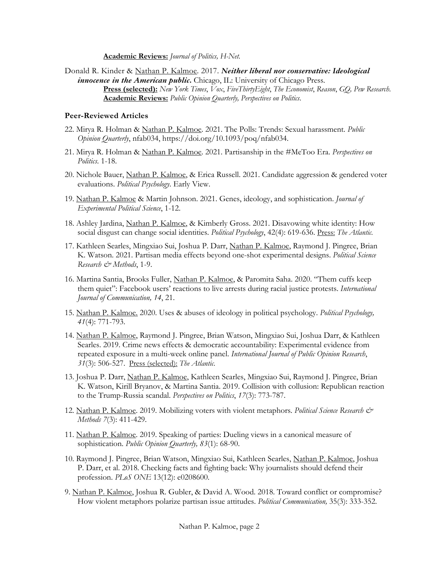**Academic Reviews:** *Journal of Politics, H-Net.* 

 Donald R. Kinder & Nathan P. Kalmoe. 2017. *Neither liberal nor conservative: Ideological innocence in the American public***.** Chicago, IL: University of Chicago Press.  **Press (selected):** *New York Times*, *Vox*, *FiveThirtyEight*, *The Economist*, *Reason*, *GQ, Pew Research*. **Academic Reviews:** *Public Opinion Quarterly, Perspectives on Politics*.

## **Peer-Reviewed Articles**

- 22. Mirya R. Holman & Nathan P. Kalmoe. 2021. The Polls: Trends: Sexual harassment. *Public Opinion Quarterly*, nfab034,<https://doi.org/10.1093/poq/nfab034>.
- 21. Mirya R. Holman & Nathan P. Kalmoe. 2021. Partisanship in the #MeToo Era. *Perspectives on Politics*. 1-18.
- 20. Nichole Bauer, Nathan P. Kalmoe, & Erica Russell. 2021. Candidate aggression & gendered voter evaluations. *Political Psychology*. Early View.
- 19. Nathan P. Kalmoe & Martin Johnson. 2021. Genes, ideology, and sophistication. *Journal of Experimental Political Science*, 1-12.
- 18. Ashley Jardina, Nathan P. Kalmoe, & Kimberly Gross. 2021. Disavowing white identity: How social disgust can change social identities. *Political Psychology*, 42(4): 619-636. Press: *The Atlantic*.
- 17. Kathleen Searles, Mingxiao Sui, Joshua P. Darr, Nathan P. Kalmoe, Raymond J. Pingree, Brian K. Watson. 2021. Partisan media effects beyond one-shot experimental designs. *Political Science Research & Methods*, 1-9.
- 16. Martina Santia, Brooks Fuller, Nathan P. Kalmoe, & Paromita Saha. 2020. "Them cuffs keep them quiet": Facebook users' reactions to live arrests during racial justice protests. *International Journal of Communication, 14*, 21.
- 15. Nathan P. Kalmoe. 2020. Uses & abuses of ideology in political psychology. *Political Psychology, 41*(4): 771-793.
- 14. Nathan P. Kalmoe, Raymond J. Pingree, Brian Watson, Mingxiao Sui, Joshua Darr, & Kathleen repeated exposure in a multi-week online panel. *International Journal of Public Opinion Research*, *31*(3): 506-527. Press (selected): *The Atlantic*. Searles. 2019. Crime news effects & democratic accountability: Experimental evidence from
- 13. Joshua P. Darr, Nathan P. Kalmoe, Kathleen Searles, Mingxiao Sui, Raymond J. Pingree, Brian K. Watson, Kirill Bryanov, & Martina Santia. 2019. Collision with collusion: Republican reaction to the Trump-Russia scandal. *Perspectives on Politics*, *17*(3): 773-787.
- 12. Nathan P. Kalmoe. 2019. Mobilizing voters with violent metaphors. *Political Science Research & Methods 7*(3): 411-429.
- 11. Nathan P. Kalmoe. 2019. Speaking of parties: Dueling views in a canonical measure of sophistication. *Public Opinion Quarterly, 83*(1): 68-90.
- 10. Raymond J. Pingree, Brian Watson, Mingxiao Sui, Kathleen Searles, Nathan P. Kalmoe, Joshua P. Darr, et al. 2018. Checking facts and fighting back: Why journalists should defend their profession. *PLoS ONE* 13(12): e0208600.
- 9. Nathan P. Kalmoe, Joshua R. Gubler, & David A. Wood. 2018. Toward conflict or compromise? How violent metaphors polarize partisan issue attitudes. *Political Communication,* 35(3): 333-352.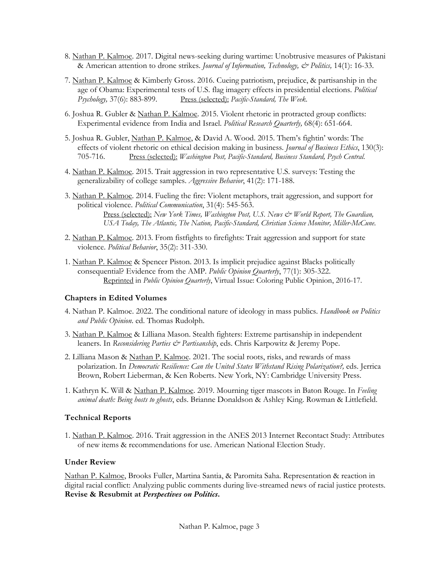- 8. Nathan P. Kalmoe. 2017. Digital news-seeking during wartime: Unobtrusive measures of Pakistani & American attention to drone strikes. *Journal of Information, Technology, & Politics,* 14(1): 16-33.
- 7. Nathan P. Kalmoe & Kimberly Gross. 2016. Cueing patriotism, prejudice, & partisanship in the Psychology, 37(6): 883-899. Press (selected): *Pacific-Standard, The Week*. age of Obama: Experimental tests of U.S. flag imagery effects in presidential elections. *Political*
- 6. Joshua R. Gubler & Nathan P. Kalmoe. 2015. Violent rhetoric in protracted group conflicts: Experimental evidence from India and Israel. *Political Research Quarterly,* 68(4): 651-664.
- 5. Joshua R. Gubler, Nathan P. Kalmoe, & David A. Wood. 2015. Them's fightin' words: The effects of violent rhetoric on ethical decision making in business. *Journal of Business Ethics*, 130(3):  705-716. Press (selected): *Washington Post, Pacific-Standard, Business Standard, Psych Central*.
- 4. Nathan P. Kalmoe. 2015. Trait aggression in two representative U.S. surveys: Testing the generalizability of college samples. Aggressive Behavior, 41(2): 171-188.
- generalizability of college samples. *Aggressive Behavior*, 41(2): 171-188. 3. Nathan P. Kalmoe. 2014. Fueling the fire: Violent metaphors, trait aggression, and support for political violence. Political Communication, 31(4): 545-563. political violence. *Political Communication*, 31(4): 545-563.<br>Press (selected): *New York Times, Washington Post, U.S. News & World Report, The Guardian, USA Today, The Atlantic, The Nation, Pacific-Standard, Christian Science Monitor, Miller-McCune*.
- 2. Nathan P. Kalmoe. 2013. From fistfights to firefights: Trait aggression and support for state violence. Political Behavior, 35(2): 311-330.
- violence. *Political Behavior*, 35(2): 311-330.<br>1. <u>Nathan P. Kalmoe</u> & Spencer Piston. 2013. Is implicit prejudice against Blacks politically consequential? Evidence from the AMP. *Public Opinion Quarterly*, 77(1): 305-322.<br>Reprinted in *Public Opinion Quarterly*, Virtual Issue: Coloring Public Opinion, 2016-17.

## **Chapters in Edited Volumes**

- 4. Nathan P. Kalmoe. 2022. The conditional nature of ideology in mass publics. *Handbook on Politics and Public Opinion*. ed. Thomas Rudolph.
- 3. Nathan P. Kalmoe & Lilliana Mason. Stealth fighters: Extreme partisanship in independent leaners. In *Reconsidering Parties & Partisanship*, eds. Chris Karpowitz & Jeremy Pope.
- 2. Lilliana Mason & Nathan P. Kalmoe. 2021. The social roots, risks, and rewards of mass polarization. In *Democratic Resilience: Can the United States Withstand Rising Polarization?, eds. Jerrica* Brown, Robert Lieberman, & Ken Roberts. New York, NY: Cambridge University Press.
- 1. Kathryn K. Will & Nathan P. Kalmoe. 2019. Mourning tiger mascots in Baton Rouge. In *Feeling animal death: Being hosts to ghosts*, eds. Brianne Donaldson & Ashley King. Rowman & Littlefield.

## **Technical Reports**

1. Nathan P. Kalmoe. 2016. Trait aggression in the ANES 2013 Internet Recontact Study: Attributes of new items & recommendations for use. American National Election Study.

## **Under Review**

 Nathan P. Kalmoe, Brooks Fuller, Martina Santia, & Paromita Saha. Representation & reaction in  **Revise & Resubmit at** *Perspectives on Politics***.**  digital racial conflict: Analyzing public comments during live-streamed news of racial justice protests.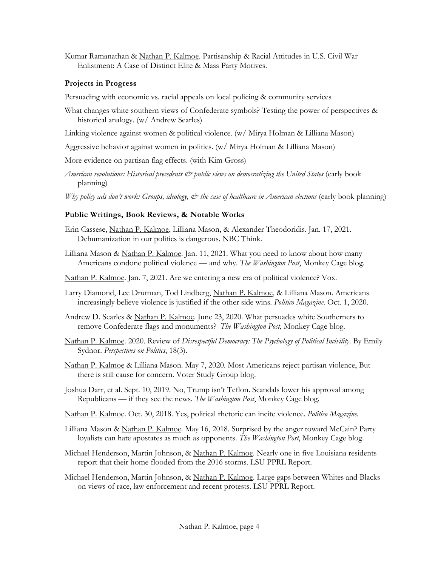Kumar Ramanathan & Nathan P. Kalmoe. Partisanship & Racial Attitudes in U.S. Civil War Enlistment: A Case of Distinct Elite & Mass Party Motives.

## **Projects in Progress**

Persuading with economic vs. racial appeals on local policing & community services

- What changes white southern views of Confederate symbols? Testing the power of perspectives & historical analogy. (w/ Andrew Searles)
- Linking violence against women & political violence. (w/ Mirya Holman & Lilliana Mason)
- Aggressive behavior against women in politics. (w/ Mirya Holman & Lilliana Mason)
- More evidence on partisan flag effects. (with Kim Gross)
- *American revolutions: Historical precedents & public views on democratizing the United States* (early book planning)
- Why policy ads don't work: Groups, ideology, & the case of healthcare in American elections (early book planning)

## **Public Writings, Book Reviews, & Notable Works**

- Erin Cassese, <u>Nathan P. Kalmoe</u>, Lilliana Mason, & Alexander Theodoridis. Jan. 17, 2021. Dehumanization in our politics is dangerous. NBC Think.
- Lilliana Mason & Nathan P. Kalmoe. Jan. 11, 2021. What you need to know about how many Americans condone political violence — and why. *The Washington Post*, Monkey Cage blog.
- Nathan P. Kalmoe. Jan. 7, 2021. Are we entering a new era of political violence? Vox.
- Larry Diamond, Lee Drutman, Tod Lindberg, Nathan P. Kalmoe, & Lilliana Mason. Americans increasingly believe violence is justified if the other side wins. *Politico Magazine*. Oct. 1, 2020.
- Andrew D. Searles & Nathan P. Kalmoe. June 23, 2020. What persuades white Southerners to remove Confederate flags and monuments? *The Washington Post*, Monkey Cage blog.
- Nathan P. Kalmoe. 2020. Review of *Disrespectful Democracy: The Psychology of Political Incivility*. By Emily Sydnor. *Perspectives on Politics*, 18(3).
- Nathan P. Kalmoe & Lilliana Mason. May 7, 2020. Most Americans reject partisan violence, But there is still cause for concern. Voter Study Group blog.
- Joshua Darr, et al. Sept. 10, 2019. No, Trump isn't Teflon. Scandals lower his approval among Republicans — if they see the news. *The Washington Post*, Monkey Cage blog.
- Nathan P. Kalmoe. Oct. 30, 2018. Yes, political rhetoric can incite violence. *Politico Magazine*.
- Lilliana Mason & Nathan P. Kalmoe. May 16, 2018. Surprised by the anger toward McCain? Party loyalists can hate apostates as much as opponents. *The Washington Post*, Monkey Cage blog.
- Michael Henderson, Martin Johnson, & Nathan P. Kalmoe. Nearly one in five Louisiana residents report that their home flooded from the 2016 storms. LSU PPRL Report.
- Michael Henderson, Martin Johnson, & Nathan P. Kalmoe. Large gaps between Whites and Blacks on views of race, law enforcement and recent protests. LSU PPRL Report.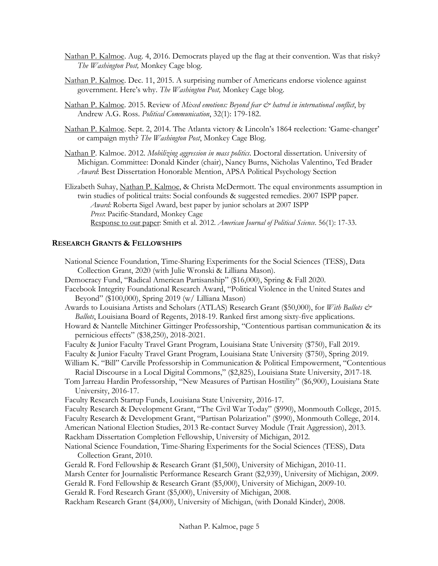- Nathan P. Kalmoe. Aug. 4, 2016. Democrats played up the flag at their convention. Was that risky? *The Washington Post,* Monkey Cage blog.
- Nathan P. Kalmoe. Dec. 11, 2015. A surprising number of Americans endorse violence against government. Here's why. *The Washington Post,* Monkey Cage blog.
- Nathan P. Kalmoe. 2015. Review of *Mixed emotions: Beyond fear & hatred in international conflict*, by Andrew A.G. Ross. *Political Communication*, 32(1): 179-182.
- Nathan P. Kalmoe. Sept. 2, 2014. The Atlanta victory & Lincoln's 1864 reelection: 'Game-changer' or campaign myth? The Washington Post, Monkey Cage Blog.
- or campaign myth? *The Washington Post*, Monkey Cage Blog. Nathan P. Kalmoe. 2012. *Mobilizing aggression in mass politics*. Doctoral dissertation. University of Michigan. Committee: Donald Kinder (chair), Nancy Burns, Nicholas Valentino, Ted Brader *Award*: Best Dissertation Honorable Mention, APSA Political Psychology Section
- Elizabeth Suhay, Nathan P. Kalmoe, & Christa McDermott. The equal environments assumption in *Award:* Roberta Sigel Award, best paper by junior scholars at 2007 ISPP Response to our paper: Smith et al. 2012. *American Journal of Political Science*. 56(1): 17-33. twin studies of political traits: Social confounds & suggested remedies. 2007 ISPP paper. *Press*: Pacific-Standard, Monkey Cage

## **RESEARCH GRANTS & FELLOWSHIPS**

 Democracy Fund, "Radical American Partisanship" (\$16,000), Spring & Fall 2020. Beyond" (\$100,000), Spring 2019 (w/ Lilliana Mason) Awards to Louisiana Artists and Scholars (ATLAS) Research Grant (\$50,000), for *With Ballots &*  Faculty & Junior Faculty Travel Grant Program, Louisiana State University (\$750), Fall 2019. Faculty & Junior Faculty Travel Grant Program, Louisiana State University (\$750), Spring 2019. William K. "Bill" Carville Professorship in Communication & Political Empowerment, "Contentious Racial Discourse in a Local Digital Commons," (\$2,825), Louisiana State University, 2017-18. Tom Jarreau Hardin Professorship, "New Measures of Partisan Hostility" (\$6,900), Louisiana State Faculty Research Startup Funds, Louisiana State University, 2016-17. Faculty Research & Development Grant, "The Civil War Today" (\$990), Monmouth College, 2015. Faculty Research & Development Grant, "Partisan Polarization" (\$990), Monmouth College, 2014. Rackham Dissertation Completion Fellowship, University of Michigan, 2012. Gerald R. Ford Fellowship & Research Grant (\$1,500), University of Michigan, 2010-11. Marsh Center for Journalistic Performance Research Grant (\$2,939), University of Michigan, 2009. Gerald R. Ford Fellowship & Research Grant (\$5,000), University of Michigan, 2009-10. Gerald R. Ford Research Grant (\$5,000), University of Michigan, 2008. National Science Foundation, Time-Sharing Experiments for the Social Sciences (TESS), Data Collection Grant, 2020 (with Julie Wronski & Lilliana Mason). Facebook Integrity Foundational Research Award, "Political Violence in the United States and *Ballots*, Louisiana Board of Regents, 2018-19. Ranked first among sixty-five applications. Howard & Nantelle Mitchiner Gittinger Professorship, "Contentious partisan communication & its pernicious effects" (\$38,250), 2018-2021. University, 2016-17. American National Election Studies, 2013 Re-contact Survey Module (Trait Aggression), 2013. National Science Foundation, Time-Sharing Experiments for the Social Sciences (TESS), Data Collection Grant, 2010.

Rackham Research Grant (\$4,000), University of Michigan, (with Donald Kinder), 2008.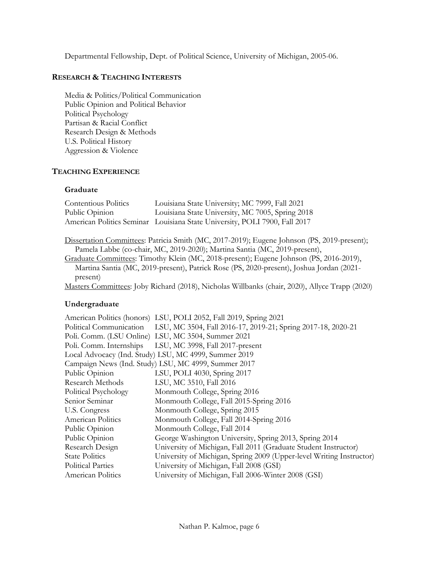Departmental Fellowship, Dept. of Political Science, University of Michigan, 2005-06.

## **RESEARCH & TEACHING INTERESTS**

 Public Opinion and Political Behavior Political Psychology Partisan & Racial Conflict Research Design & Methods Aggression & Violence Media & Politics/Political Communication U.S. Political History

## **TEACHING EXPERIENCE**

## **Graduate**

| <b>Contentious Politics</b> | Louisiana State University; MC 7999, Fall 2021                                              |
|-----------------------------|---------------------------------------------------------------------------------------------|
| Public Opinion              | Louisiana State University, MC 7005, Spring 2018                                            |
|                             | American Politics Seminar Louisiana State University, POLI 7900, Fall 2017                  |
|                             |                                                                                             |
|                             | Dissertation Committees: Patricia Smith (MC, 2017-2019); Eugene Johnson (PS, 2019-present); |
|                             | Pamela Labbe (co-chair, MC, 2019-2020); Martina Santia (MC, 2019-present),                  |
|                             | Graduate Committees: Timothy Klein (MC, 2018-present); Eugene Johnson (PS, 2016-2019),      |
|                             | Martina Santia (MC, 2019-present), Patrick Rose (PS, 2020-present), Joshua Jordan (2021-    |
| present)                    |                                                                                             |

Masters Committees: Joby Richard (2018), Nicholas Willbanks (chair, 2020), Allyce Trapp (2020)

## **Undergraduate**

|                          | American Politics (honors) LSU, POLI 2052, Fall 2019, Spring 2021                    |
|--------------------------|--------------------------------------------------------------------------------------|
|                          | Political Communication LSU, MC 3504, Fall 2016-17, 2019-21; Spring 2017-18, 2020-21 |
|                          | Poli. Comm. (LSU Online) LSU, MC 3504, Summer 2021                                   |
|                          | Poli. Comm. Internships LSU, MC 3998, Fall 2017-present                              |
|                          | Local Advocacy (Ind. Study) LSU, MC 4999, Summer 2019                                |
|                          | Campaign News (Ind. Study) LSU, MC 4999, Summer 2017                                 |
| Public Opinion           | LSU, POLI 4030, Spring 2017                                                          |
| Research Methods         | LSU, MC 3510, Fall 2016                                                              |
| Political Psychology     | Monmouth College, Spring 2016                                                        |
| Senior Seminar           | Monmouth College, Fall 2015-Spring 2016                                              |
| U.S. Congress            | Monmouth College, Spring 2015                                                        |
| American Politics        | Monmouth College, Fall 2014-Spring 2016                                              |
| Public Opinion           | Monmouth College, Fall 2014                                                          |
| Public Opinion           | George Washington University, Spring 2013, Spring 2014                               |
| Research Design          | University of Michigan, Fall 2011 (Graduate Student Instructor)                      |
| <b>State Politics</b>    | University of Michigan, Spring 2009 (Upper-level Writing Instructor)                 |
| <b>Political Parties</b> | University of Michigan, Fall 2008 (GSI)                                              |
| American Politics        | University of Michigan, Fall 2006-Winter 2008 (GSI)                                  |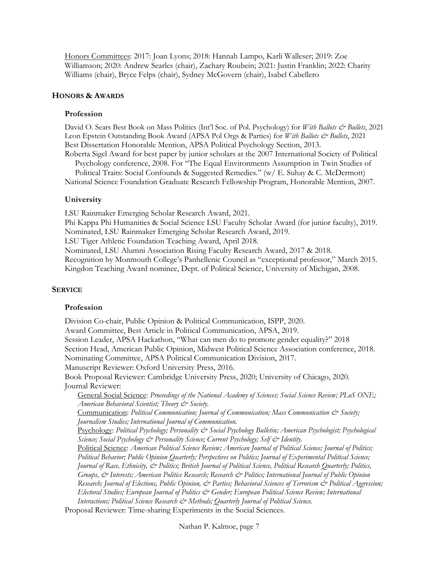Honors Committees: 2017: Joan Lyons; 2018: Hannah Lampo, Karli Walleser; 2019: Zoe Williamson; 2020: Andrew Searles (chair), Zachary Roubein; 2021: Justin Franklin; 2022: Charity Williams (chair), Bryce Felps (chair), Sydney McGovern (chair), Isabel Cabellero

#### **HONORS & AWARDS**

#### **Profession**

David O. Sears Best Book on Mass Politics (Int'l Soc. of Pol. Psychology) for *With Ballots & Bullets*, 2021 Leon Epstein Outstanding Book Award (APSA Pol Orgs & Parties) for *With Ballots & Bullets*, 2021 Best Dissertation Honorable Mention, APSA Political Psychology Section, 2013.

 Roberta Sigel Award for best paper by junior scholars at the 2007 International Society of Political Psychology conference, 2008. For "The Equal Environments Assumption in Twin Studies of

 Political Traits: Social Confounds & Suggested Remedies." (w/ E. Suhay & C. McDermott) National Science Foundation Graduate Research Fellowship Program, Honorable Mention, 2007.

#### **University**

 LSU Rainmaker Emerging Scholar Research Award, 2021. Phi Kappa Phi Humanities & Social Science LSU Faculty Scholar Award (for junior faculty), 2019. Nominated, LSU Rainmaker Emerging Scholar Research Award, 2019. LSU Tiger Athletic Foundation Teaching Award, April 2018. Nominated, LSU Alumni Association Rising Faculty Research Award, 2017 & 2018. Kingdon Teaching Award nominee, Dept. of Political Science, University of Michigan, 2008. Recognition by Monmouth College's Panhellenic Council as "exceptional professor," March 2015.

## **SERVICE**

#### **Profession**

 Session Leader, APSA Hackathon, "What can men do to promote gender equality?" 2018 Section Head, American Public Opinion, Midwest Political Science Association conference, 2018. Nominating Committee, APSA Political Communication Division, 2017. Book Proposal Reviewer: Cambridge University Press, 2020; University of Chicago, 2020. Journal Reviewer: Journal Reviewer: General Social Science: *Proceedings of the National Academy of Sciences; Social Science Review; PLoS ONE; American Behavioral Scientist; Theory & Society.*  Communication: *Political Communication; Journal of Communication; Mass Communication & Society;*  Psychology: *Political Psychology; Personality & Social Psychology Bulletin; American Psychologist; Psychological Science; Social Psychology & Personality Science; Current Psychology; Self & Identity.*  Political Science: *American Political Science Review; American Journal of Political Science; Journal of Politics; Political Behavior; Public Opinion Quarterly; Perspectives on Politics; Journal of Experimental Political Science; Journal of Race, Ethnicity, & Politics; British Journal of Political Science, Political Research Quarterly; Politics,*  Groups, & Interests; American Politics Research; Research & Politics; International Journal of Public Opinion  *Research; Journal of Elections, Public Opinion, & Parties; Behavioral Sciences of Terrorism & Political Aggression;*  Electoral Studies; European Journal of Politics & Gender; European Political Science Review; International Proposal Reviewer: Time-sharing Experiments in the Social Sciences. Division Co-chair, Public Opinion & Political Communication, ISPP, 2020. Award Committee, Best Article in Political Communication, APSA, 2019. Manuscript Reviewer: Oxford University Press, 2016. *Journalism Studies; International Journal of Communication. Interactions; Political Science Research*  $\breve{c}$  *Methods; Quarterly Journal of Political Science.* 

Nathan P. Kalmoe, page 7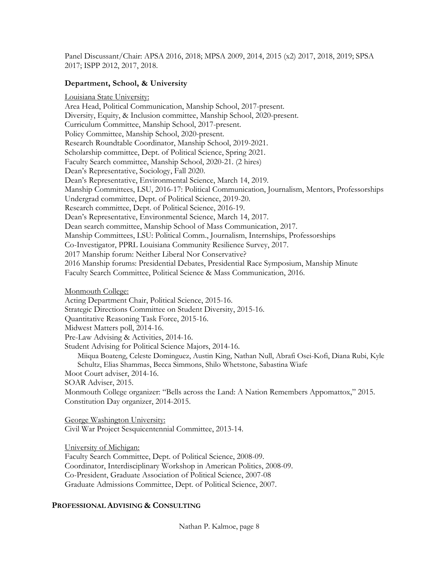Panel Discussant/Chair: APSA 2016, 2018; MPSA 2009, 2014, 2015 (x2) 2017, 2018, 2019; SPSA 2017; ISPP 2012, 2017, 2018.

## **Department, School, & University**

 Diversity, Equity, & Inclusion committee, Manship School, 2020-present. Research Roundtable Coordinator, Manship School, 2019-2021. Scholarship committee, Dept. of Political Science, Spring 2021. Faculty Search committee, Manship School, 2020-21. (2 hires) Dean's Representative, Environmental Science, March 14, 2019. Research committee, Dept. of Political Science, 2016-19. Dean's Representative, Environmental Science, March 14, 2017. Dean search committee, Manship School of Mass Communication, 2017. 2017 Manship forum: Neither Liberal Nor Conservative? 2016 Manship forums: Presidential Debates, Presidential Race Symposium, Manship Minute Faculty Search Committee, Political Science & Mass Communication, 2016. Louisiana State University: Area Head, Political Communication, Manship School, 2017-present. Curriculum Committee, Manship School, 2017-present. Policy Committee, Manship School, 2020-present. Dean's Representative, Sociology, Fall 2020. Manship Committees, LSU, 2016-17: Political Communication, Journalism, Mentors, Professorships Undergrad committee, Dept. of Political Science, 2019-20. Manship Committees, LSU: Political Comm., Journalism, Internships, Professorships Co-Investigator, PPRL Louisiana Community Resilience Survey, 2017.

Monmouth College:

Acting Department Chair, Political Science, 2015-16.

Strategic Directions Committee on Student Diversity, 2015-16.

Quantitative Reasoning Task Force, 2015-16.

Midwest Matters poll, 2014-16.

Pre-Law Advising & Activities, 2014-16.

Student Advising for Political Science Majors, 2014-16.

 Student Advising for Political Science Majors, 2014-16. Miiqua Boateng, Celeste Dominguez, Austin King, Nathan Null, Abrafi Osei-Kofi, Diana Rubi, Kyle Schultz, Elias Shammas, Becca Simmons, Shilo Whetstone, Sabastina Wiafe

Moot Court adviser, 2014-16.

SOAR Adviser, 2015.

 Monmouth College organizer: "Bells across the Land: A Nation Remembers Appomattox," 2015. Constitution Day organizer, 2014-2015.

George Washington University: Civil War Project Sesquicentennial Committee, 2013-14.

University of Michigan:

 Faculty Search Committee, Dept. of Political Science, 2008-09. Co-President, Graduate Association of Political Science, 2007-08 Graduate Admissions Committee, Dept. of Political Science, 2007. Coordinator, Interdisciplinary Workshop in American Politics, 2008-09.

## **PROFESSIONAL ADVISING & CONSULTING**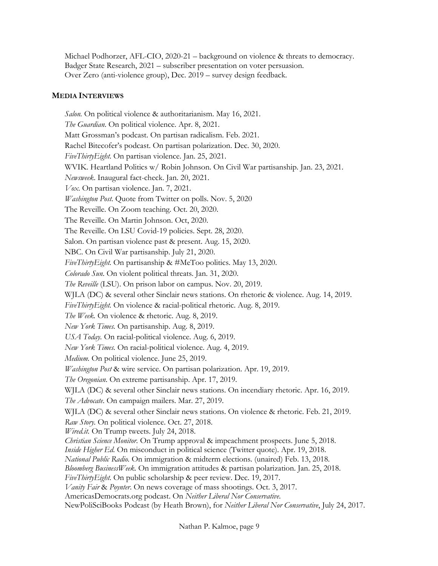Michael Podhorzer, AFL-CIO, 2020-21 – background on violence & threats to democracy. Badger State Research, 2021 – subscriber presentation on voter persuasion. Over Zero (anti-violence group), Dec. 2019 – survey design feedback.

## **MEDIA INTERVIEWS**

 *Salon.* On political violence & authoritarianism. May 16, 2021. *The Guardian*. On political violence. Apr. 8, 2021. Matt Grossman's podcast. On partisan radicalism. Feb. 2021. Rachel Bitecofer's podcast. On partisan polarization. Dec. 30, 2020. *FiveThirtyEight*. On partisan violence. Jan. 25, 2021. WVIK. Heartland Politics w/ Robin Johnson. On Civil War partisanship. Jan. 23, 2021. *Newsweek*. Inaugural fact-check. Jan. 20, 2021. *Vox*. On partisan violence. Jan. 7, 2021. *Washington Post*. Quote from Twitter on polls. Nov. 5, 2020 The Reveille. On Zoom teaching. Oct. 20, 2020. The Reveille. On Martin Johnson. Oct, 2020. The Reveille. On LSU Covid-19 policies. Sept. 28, 2020. Salon. On partisan violence past & present. Aug. 15, 2020. NBC. On Civil War partisanship. July 21, 2020. *FiveThirtyEight.* On partisanship & #MeToo politics. May 13, 2020. *Colorado Sun*. On violent political threats. Jan. 31, 2020. *The Reveille* (LSU). On prison labor on campus. Nov. 20, 2019. WJLA (DC) & several other Sinclair news stations. On rhetoric & violence. Aug. 14, 2019. *FiveThirtyEight.* On violence & racial-political rhetoric. Aug. 8, 2019. *The Week.* On violence & rhetoric. Aug. 8, 2019.  *New York Times.* On partisanship. Aug. 8, 2019. USA Today. On racial-political violence. Aug. 6, 2019.  *New York Times.* On racial-political violence. Aug. 4, 2019. *Medium.* On political violence. June 25, 2019.  *Washington Post* & wire service. On partisan polarization. Apr. 19, 2019. WJLA (DC) & several other Sinclair news stations. On incendiary rhetoric. Apr. 16, 2019. WJLA (DC) & several other Sinclair news stations. On violence & rhetoric. Feb. 21, 2019. Raw Story. On political violence. Oct. 27, 2018. *[Wired.it.](https://Wired.it)* On Trump tweets. July 24, 2018.  *Christian Science Monitor.* On Trump approval & impeachment prospects. June 5, 2018.  *Inside Higher Ed.* On misconduct in political science (Twitter quote). Apr. 19, 2018.  *National Public Radio.* On immigration & midterm elections. (unaired) Feb. 13, 2018. *Bloomberg BusinessWeek.* On immigration attitudes & partisan polarization. Jan. 25, 2018. *FiveThirtyEight.* On public scholarship & peer review. Dec. 19, 2017. *Vanity Fair* & *Poynter*. On news coverage of mass shootings. Oct. 3, 2017. [AmericasDemocrats.org](https://AmericasDemocrats.org) podcast. On *Neither Liberal Nor Conservative*. NewPoliSciBooks Podcast (by Heath Brown), for *Neither Liberal Nor Conservative*, July 24, 2017. *The Oregonian*. On extreme partisanship. Apr. 17, 2019. *The Advocate*. On campaign mailers. Mar. 27, 2019.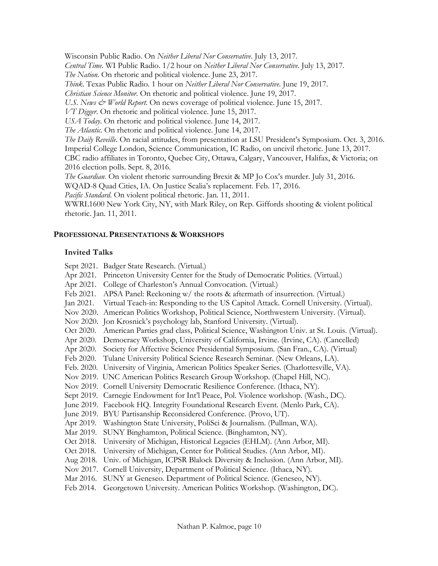Wisconsin Public Radio. On *Neither Liberal Nor Conservative*. July 13, 2017.

*Central Time*. WI Public Radio. 1/2 hour on *Neither Liberal Nor Conservative*. July 13, 2017.

*The Nation*. On rhetoric and political violence. June 23, 2017.

*Think*. Texas Public Radio. 1 hour on *Neither Liberal Nor Conservative*. June 19, 2017.

 *Christian Science Monitor*. On rhetoric and political violence. June 19, 2017.

U.S. News & World Report. On news coverage of political violence. June 15, 2017.

*VT Digger*. On rhetoric and political violence. June 15, 2017.

*USA Today*. On rhetoric and political violence. June 14, 2017.

*The Atlantic*. On rhetoric and political violence. June 14, 2017.

 *The Daily Reveille*. On racial attitudes, from presentation at LSU President's Symposium. Oct. 3, 2016. Imperial College London, Science Communication, IC Radio, on uncivil rhetoric. June 13, 2017. CBC radio affiliates in Toronto, Quebec City, Ottawa, Calgary, Vancouver, Halifax, & Victoria; on 2016 election polls. Sept. 8, 2016.

*The Guardian*. On violent rhetoric surrounding Brexit & MP Jo Cox's murder. July 31, 2016.

WQAD-8 Quad Cities, IA. On Justice Scalia's replacement. Feb. 17, 2016.

*Pacific Standard*. On violent political rhetoric. Jan. 11, 2011.

 WWRL1600 New York City, NY, with Mark Riley, on Rep. Giffords shooting & violent political rhetoric. Jan. 11, 2011.

## **PROFESSIONAL PRESENTATIONS & WORKSHOPS**

# **Invited Talks**

Sept 2021. Badger State Research. (Virtual.)

- Apr 2021. Princeton University Center for the Study of Democratic Politics. (Virtual.)
- Apr 2021. College of Charleston's Annual Convocation. (Virtual.)
- Feb 2021. APSA Panel: Reckoning w/ the roots & aftermath of insurrection. (Virtual.)
- Jan 2021. Virtual Teach-in: Responding to the US Capitol Attack. Cornell University. (Virtual).
- Nov 2020. American Politics Workshop, Political Science, Northwestern University. (Virtual).
- Nov 2020. Jon Krosnick's psychology lab, Stanford University. (Virtual).
- Oct 2020. American Parties grad class, Political Science, Washington Univ. at St. Louis. (Virtual).
- Apr 2020. Democracy Workshop, University of California, Irvine. (Irvine, CA). (Cancelled)
- Apr 2020. Society for Affective Science Presidential Symposium. (San Fran., CA). (Virtual)
- Feb 2020. Tulane University Political Science Research Seminar. (New Orleans, LA).
- Feb. 2020. University of Virginia, American Politics Speaker Series. (Charlottesville, VA).
- Nov 2019. UNC American Politics Research Group Workshop. (Chapel Hill, NC).
- Nov 2019. Cornell University Democratic Resilience Conference. (Ithaca, NY).
- Sept 2019. Carnegie Endowment for Int'l Peace, Pol. Violence workshop. (Wash., DC).
- June 2019. Facebook HQ. Integrity Foundational Research Event. (Menlo Park, CA).
- June 2019. BYU Partisanship Reconsidered Conference. (Provo, UT).
- 
- Apr 2019. Washington State University, PoliSci & Journalism. (Pullman, WA). Mar 2019. SUNY Binghamton, Political Science. (Binghamton, NY).
- Oct 2018. University of Michigan, Historical Legacies (EHLM). (Ann Arbor, MI).
- Oct 2018. University of Michigan, Center for Political Studies. (Ann Arbor, MI).
- Aug 2018. Univ. of Michigan, ICPSR Blalock Diversity & Inclusion. (Ann Arbor, MI).
- Nov 2017. Cornell University, Department of Political Science. (Ithaca, NY).
- Mar 2016. SUNY at Geneseo. Department of Political Science. (Geneseo, NY).
- Feb 2014. Georgetown University. American Politics Workshop. (Washington, DC).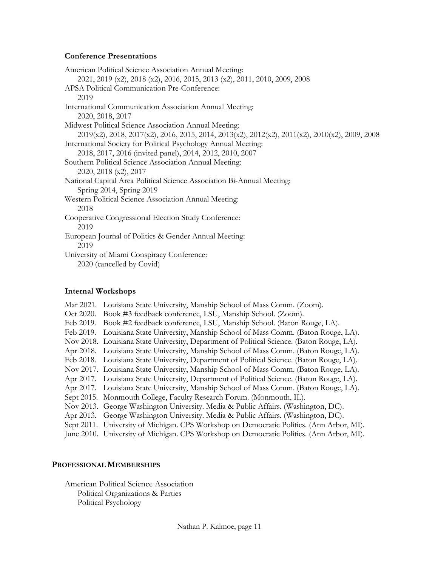## **Conference Presentations**

| American Political Science Association Annual Meeting:                                                                            |
|-----------------------------------------------------------------------------------------------------------------------------------|
| 2021, 2019 (x2), 2018 (x2), 2016, 2015, 2013 (x2), 2011, 2010, 2009, 2008                                                         |
| APSA Political Communication Pre-Conference:                                                                                      |
| 2019                                                                                                                              |
| International Communication Association Annual Meeting:                                                                           |
| 2020, 2018, 2017                                                                                                                  |
| Midwest Political Science Association Annual Meeting:                                                                             |
| $2019(x2)$ , $2018$ , $2017(x2)$ , $2016$ , $2015$ , $2014$ , $2013(x2)$ , $2012(x2)$ , $2011(x2)$ , $2010(x2)$ , $2009$ , $2008$ |
| International Society for Political Psychology Annual Meeting:                                                                    |
| 2018, 2017, 2016 (invited panel), 2014, 2012, 2010, 2007                                                                          |
| Southern Political Science Association Annual Meeting:                                                                            |
| 2020, 2018 (x2), 2017                                                                                                             |
| National Capital Area Political Science Association Bi-Annual Meeting:                                                            |
| Spring 2014, Spring 2019                                                                                                          |
| Western Political Science Association Annual Meeting:                                                                             |
| 2018                                                                                                                              |
| Cooperative Congressional Election Study Conference:                                                                              |
| 2019                                                                                                                              |
| European Journal of Politics & Gender Annual Meeting:                                                                             |
| 2019                                                                                                                              |
| University of Miami Conspiracy Conference:                                                                                        |
| 2020 (cancelled by Covid)                                                                                                         |
|                                                                                                                                   |
|                                                                                                                                   |

## **Internal Workshops**

- Mar 2021. Louisiana State University, Manship School of Mass Comm. (Zoom). Feb 2019. Book #2 feedback conference, LSU, Manship School. (Baton Rouge, LA). Feb 2019. Louisiana State University, Manship School of Mass Comm. (Baton Rouge, LA). Nov 2018. Louisiana State University, Department of Political Science. (Baton Rouge, LA). Apr 2018. Louisiana State University, Manship School of Mass Comm. (Baton Rouge, LA). Feb 2018. Louisiana State University, Department of Political Science. (Baton Rouge, LA). Nov 2017. Louisiana State University, Manship School of Mass Comm. (Baton Rouge, LA). Apr 2017. Louisiana State University, Department of Political Science. (Baton Rouge, LA). Apr 2017. Louisiana State University, Manship School of Mass Comm. (Baton Rouge, LA). Nov 2013. George Washington University. Media & Public Affairs. (Washington, DC). Apr 2013. George Washington University. Media & Public Affairs. (Washington, DC). Oct 2020. Book #3 feedback conference, LSU, Manship School. (Zoom). Sept 2015. Monmouth College, Faculty Research Forum. (Monmouth, IL). Sept 2011. University of Michigan. CPS Workshop on Democratic Politics. (Ann Arbor, MI).
- June 2010. University of Michigan. CPS Workshop on Democratic Politics. (Ann Arbor, MI).

## **PROFESSIONAL MEMBERSHIPS**

Political Organizations & Parties<br>Political Psychology<br>Nathan P. Kalmoe, page 11 Political Psychology American Political Science Association